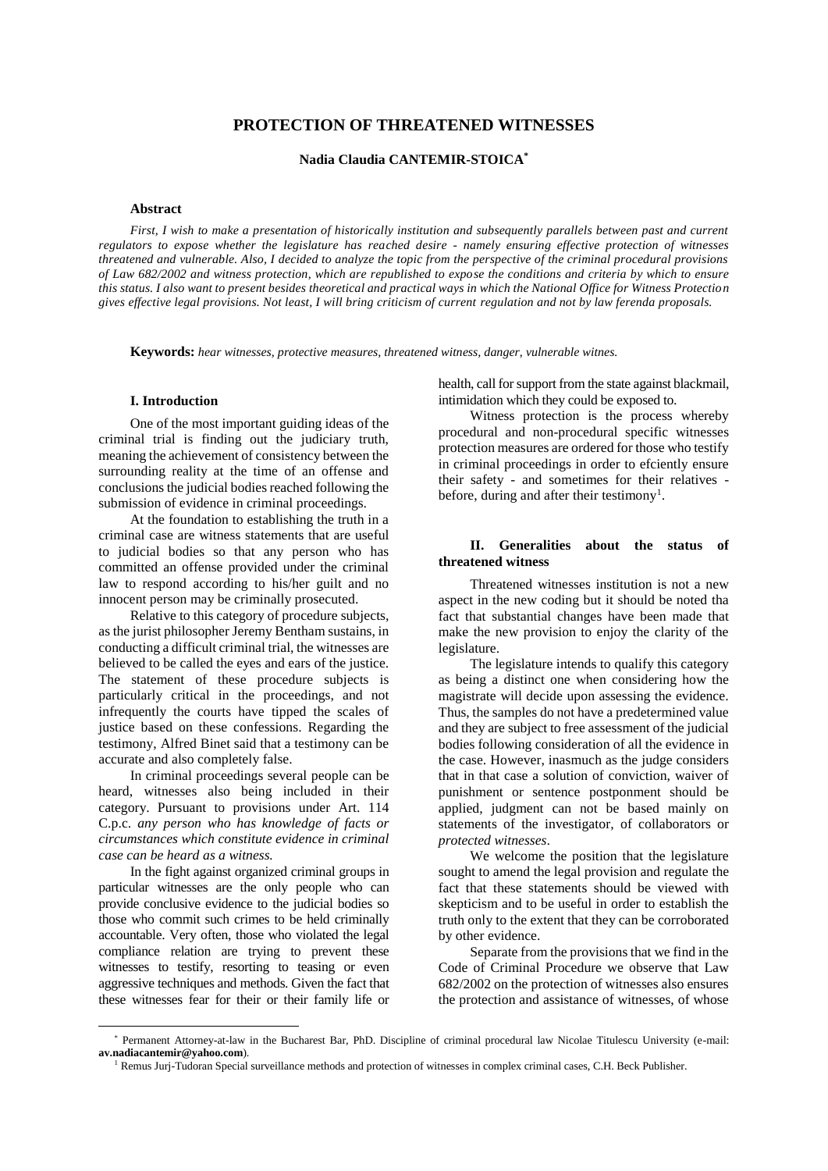# **PROTECTION OF THREATENED WITNESSES**

**Nadia Claudia CANTEMIR-STOICA\***

# **Abstract**

*First, I wish to make a presentation of historically institution and subsequently parallels between past and current regulators to expose whether the legislature has reached desire - namely ensuring effective protection of witnesses threatened and vulnerable. Also, I decided to analyze the topic from the perspective of the criminal procedural provisions of Law 682/2002 and witness protection, which are republished to expose the conditions and criteria by which to ensure this status. I also want to present besides theoretical and practical ways in which the National Office for Witness Protection gives effective legal provisions. Not least, I will bring criticism of current regulation and not by law ferenda proposals.*

**Keywords:** *hear witnesses, protective measures, threatened witness, danger, vulnerable witnes.*

#### **I. Introduction**

One of the most important guiding ideas of the criminal trial is finding out the judiciary truth, meaning the achievement of consistency between the surrounding reality at the time of an offense and conclusions the judicial bodies reached following the submission of evidence in criminal proceedings.

At the foundation to establishing the truth in a criminal case are witness statements that are useful to judicial bodies so that any person who has committed an offense provided under the criminal law to respond according to his/her guilt and no innocent person may be criminally prosecuted.

Relative to this category of procedure subjects, as the jurist philosopher Jeremy Bentham sustains, in conducting a difficult criminal trial, the witnesses are believed to be called the eyes and ears of the justice. The statement of these procedure subjects is particularly critical in the proceedings, and not infrequently the courts have tipped the scales of justice based on these confessions. Regarding the testimony, Alfred Binet said that a testimony can be accurate and also completely false.

In criminal proceedings several people can be heard, witnesses also being included in their category. Pursuant to provisions under Art. 114 C.p.c. *any person who has knowledge of facts or circumstances which constitute evidence in criminal case can be heard as a witness.*

In the fight against organized criminal groups in particular witnesses are the only people who can provide conclusive evidence to the judicial bodies so those who commit such crimes to be held criminally accountable. Very often, those who violated the legal compliance relation are trying to prevent these witnesses to testify, resorting to teasing or even aggressive techniques and methods. Given the fact that these witnesses fear for their or their family life or

 $\overline{a}$ 

health, call for support from the state against blackmail, intimidation which they could be exposed to.

Witness protection is the process whereby procedural and non-procedural specific witnesses protection measures are ordered for those who testify in criminal proceedings in order to efciently ensure their safety - and sometimes for their relatives before, during and after their testimony<sup>1</sup>.

### **II. Generalities about the status of threatened witness**

Threatened witnesses institution is not a new aspect in the new coding but it should be noted tha fact that substantial changes have been made that make the new provision to enjoy the clarity of the legislature.

The legislature intends to qualify this category as being a distinct one when considering how the magistrate will decide upon assessing the evidence. Thus, the samples do not have a predetermined value and they are subject to free assessment of the judicial bodies following consideration of all the evidence in the case. However, inasmuch as the judge considers that in that case a solution of conviction, waiver of punishment or sentence postponment should be applied, judgment can not be based mainly on statements of the investigator, of collaborators or *protected witnesses*.

We welcome the position that the legislature sought to amend the legal provision and regulate the fact that these statements should be viewed with skepticism and to be useful in order to establish the truth only to the extent that they can be corroborated by other evidence.

Separate from the provisions that we find in the Code of Criminal Procedure we observe that Law 682/2002 on the protection of witnesses also ensures the protection and assistance of witnesses, of whose

<sup>\*</sup> Permanent Attorney-at-law in the Bucharest Bar, PhD. Discipline of criminal procedural law Nicolae Titulescu University (e-mail: **av.nadiacantemir@yahoo.com**).

<sup>&</sup>lt;sup>1</sup> Remus Jurj-Tudoran Special surveillance methods and protection of witnesses in complex criminal cases, C.H. Beck Publisher.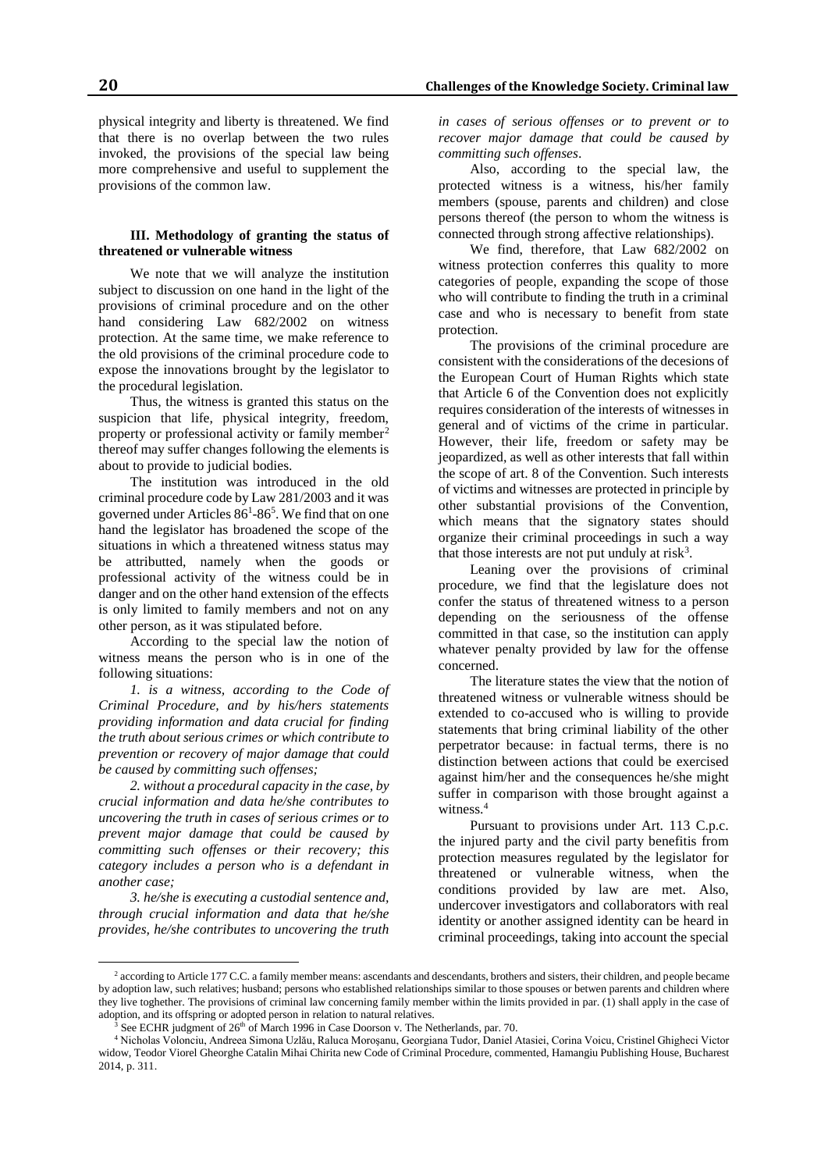physical integrity and liberty is threatened. We find that there is no overlap between the two rules invoked, the provisions of the special law being more comprehensive and useful to supplement the provisions of the common law.

### **III. Methodology of granting the status of threatened or vulnerable witness**

We note that we will analyze the institution subject to discussion on one hand in the light of the provisions of criminal procedure and on the other hand considering Law 682/2002 on witness protection. At the same time, we make reference to the old provisions of the criminal procedure code to expose the innovations brought by the legislator to the procedural legislation.

Thus, the witness is granted this status on the suspicion that life, physical integrity, freedom, property or professional activity or family member<sup>2</sup> thereof may suffer changes following the elements is about to provide to judicial bodies.

The institution was introduced in the old criminal procedure code by Law 281/2003 and it was governed under Articles 86<sup>1</sup>-86<sup>5</sup>. We find that on one hand the legislator has broadened the scope of the situations in which a threatened witness status may be attributted, namely when the goods or professional activity of the witness could be in danger and on the other hand extension of the effects is only limited to family members and not on any other person, as it was stipulated before.

According to the special law the notion of witness means the person who is in one of the following situations:

*1. is a witness, according to the Code of Criminal Procedure, and by his/hers statements providing information and data crucial for finding the truth about serious crimes or which contribute to prevention or recovery of major damage that could be caused by committing such offenses;*

*2. without a procedural capacity in the case, by crucial information and data he/she contributes to uncovering the truth in cases of serious crimes or to prevent major damage that could be caused by committing such offenses or their recovery; this category includes a person who is a defendant in another case;*

*3. he/she is executing a custodial sentence and, through crucial information and data that he/she provides, he/she contributes to uncovering the truth* 

 $\overline{a}$ 

*in cases of serious offenses or to prevent or to recover major damage that could be caused by committing such offenses*.

Also, according to the special law, the protected witness is a witness, his/her family members (spouse, parents and children) and close persons thereof (the person to whom the witness is connected through strong affective relationships).

We find, therefore, that Law 682/2002 on witness protection conferres this quality to more categories of people, expanding the scope of those who will contribute to finding the truth in a criminal case and who is necessary to benefit from state protection.

The provisions of the criminal procedure are consistent with the considerations of the decesions of the European Court of Human Rights which state that Article 6 of the Convention does not explicitly requires consideration of the interests of witnesses in general and of victims of the crime in particular. However, their life, freedom or safety may be jeopardized, as well as other interests that fall within the scope of art. 8 of the Convention. Such interests of victims and witnesses are protected in principle by other substantial provisions of the Convention, which means that the signatory states should organize their criminal proceedings in such a way that those interests are not put unduly at risk<sup>3</sup>.

Leaning over the provisions of criminal procedure, we find that the legislature does not confer the status of threatened witness to a person depending on the seriousness of the offense committed in that case, so the institution can apply whatever penalty provided by law for the offense concerned.

The literature states the view that the notion of threatened witness or vulnerable witness should be extended to co-accused who is willing to provide statements that bring criminal liability of the other perpetrator because: in factual terms, there is no distinction between actions that could be exercised against him/her and the consequences he/she might suffer in comparison with those brought against a witness.<sup>4</sup>

Pursuant to provisions under Art. 113 C.p.c. the injured party and the civil party benefitis from protection measures regulated by the legislator for threatened or vulnerable witness, when the conditions provided by law are met. Also, undercover investigators and collaborators with real identity or another assigned identity can be heard in criminal proceedings, taking into account the special

<sup>&</sup>lt;sup>2</sup> according to Article 177 C.C. a family member means: ascendants and descendants, brothers and sisters, their children, and people became by adoption law, such relatives; husband; persons who established relationships similar to those spouses or betwen parents and children where they live toghether. The provisions of criminal law concerning family member within the limits provided in par. (1) shall apply in the case of adoption, and its offspring or adopted person in relation to natural relatives.

See ECHR judgment of 26<sup>th</sup> of March 1996 in Case Doorson v. The Netherlands, par. 70.

<sup>4</sup> Nicholas Volonciu, Andreea Simona Uzlău, Raluca Moroşanu, Georgiana Tudor, Daniel Atasiei, Corina Voicu, Cristinel Ghigheci Victor widow, Teodor Viorel Gheorghe Catalin Mihai Chirita new Code of Criminal Procedure, commented, Hamangiu Publishing House, Bucharest 2014, p. 311.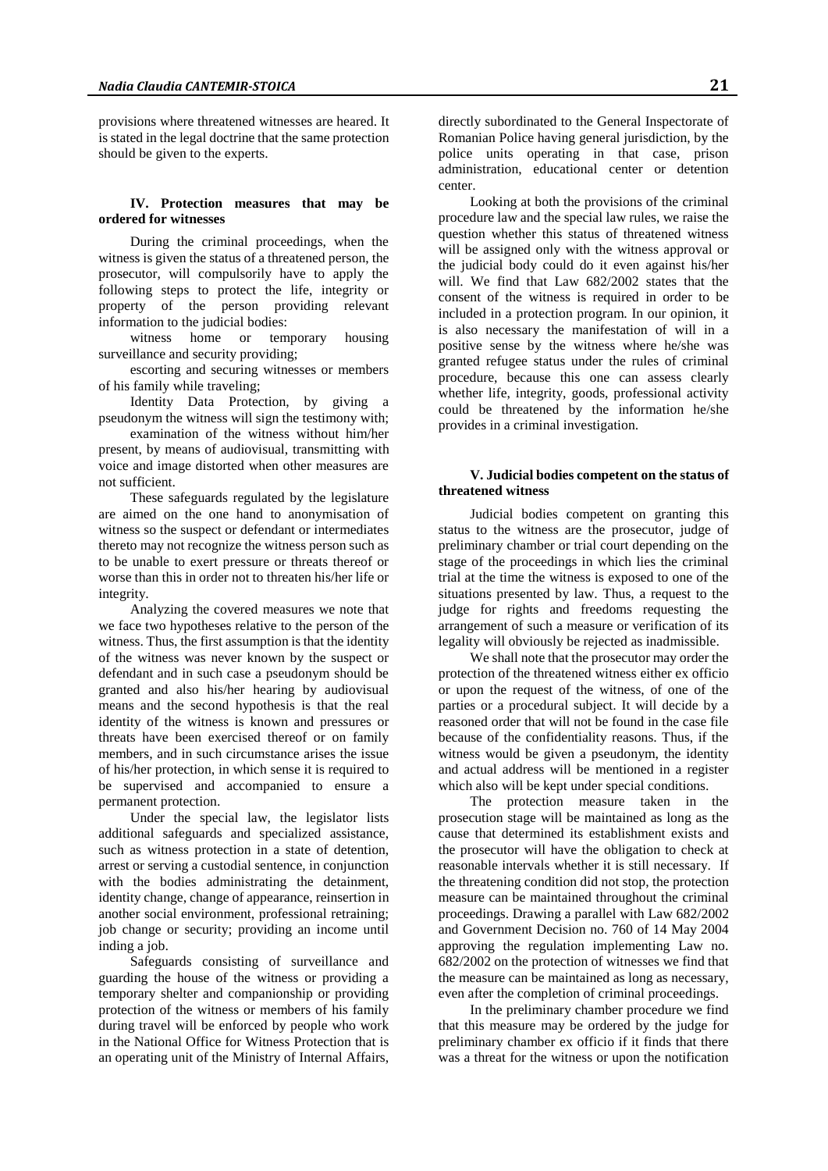provisions where threatened witnesses are heared. It is stated in the legal doctrine that the same protection should be given to the experts.

#### **IV. Protection measures that may be ordered for witnesses**

During the criminal proceedings, when the witness is given the status of a threatened person, the prosecutor, will compulsorily have to apply the following steps to protect the life, integrity or property of the person providing relevant information to the judicial bodies:

witness home or temporary housing surveillance and security providing;

escorting and securing witnesses or members of his family while traveling;

Identity Data Protection, by giving a pseudonym the witness will sign the testimony with;

examination of the witness without him/her present, by means of audiovisual, transmitting with voice and image distorted when other measures are not sufficient.

These safeguards regulated by the legislature are aimed on the one hand to anonymisation of witness so the suspect or defendant or intermediates thereto may not recognize the witness person such as to be unable to exert pressure or threats thereof or worse than this in order not to threaten his/her life or integrity.

Analyzing the covered measures we note that we face two hypotheses relative to the person of the witness. Thus, the first assumption is that the identity of the witness was never known by the suspect or defendant and in such case a pseudonym should be granted and also his/her hearing by audiovisual means and the second hypothesis is that the real identity of the witness is known and pressures or threats have been exercised thereof or on family members, and in such circumstance arises the issue of his/her protection, in which sense it is required to be supervised and accompanied to ensure a permanent protection.

Under the special law, the legislator lists additional safeguards and specialized assistance, such as witness protection in a state of detention, arrest or serving a custodial sentence, in conjunction with the bodies administrating the detainment, identity change, change of appearance, reinsertion in another social environment, professional retraining; job change or security; providing an income until inding a job.

Safeguards consisting of surveillance and guarding the house of the witness or providing a temporary shelter and companionship or providing protection of the witness or members of his family during travel will be enforced by people who work in the National Office for Witness Protection that is an operating unit of the Ministry of Internal Affairs,

directly subordinated to the General Inspectorate of Romanian Police having general jurisdiction, by the police units operating in that case, prison administration, educational center or detention center.

Looking at both the provisions of the criminal procedure law and the special law rules, we raise the question whether this status of threatened witness will be assigned only with the witness approval or the judicial body could do it even against his/her will. We find that Law 682/2002 states that the consent of the witness is required in order to be included in a protection program. In our opinion, it is also necessary the manifestation of will in a positive sense by the witness where he/she was granted refugee status under the rules of criminal procedure, because this one can assess clearly whether life, integrity, goods, professional activity could be threatened by the information he/she provides in a criminal investigation.

### **V. Judicial bodies competent on the status of threatened witness**

Judicial bodies competent on granting this status to the witness are the prosecutor, judge of preliminary chamber or trial court depending on the stage of the proceedings in which lies the criminal trial at the time the witness is exposed to one of the situations presented by law. Thus, a request to the judge for rights and freedoms requesting the arrangement of such a measure or verification of its legality will obviously be rejected as inadmissible.

We shall note that the prosecutor may order the protection of the threatened witness either ex officio or upon the request of the witness, of one of the parties or a procedural subject. It will decide by a reasoned order that will not be found in the case file because of the confidentiality reasons. Thus, if the witness would be given a pseudonym, the identity and actual address will be mentioned in a register which also will be kept under special conditions.

The protection measure taken in the prosecution stage will be maintained as long as the cause that determined its establishment exists and the prosecutor will have the obligation to check at reasonable intervals whether it is still necessary. If the threatening condition did not stop, the protection measure can be maintained throughout the criminal proceedings. Drawing a parallel with Law 682/2002 and Government Decision no. 760 of 14 May 2004 approving the regulation implementing Law no. 682/2002 on the protection of witnesses we find that the measure can be maintained as long as necessary, even after the completion of criminal proceedings.

In the preliminary chamber procedure we find that this measure may be ordered by the judge for preliminary chamber ex officio if it finds that there was a threat for the witness or upon the notification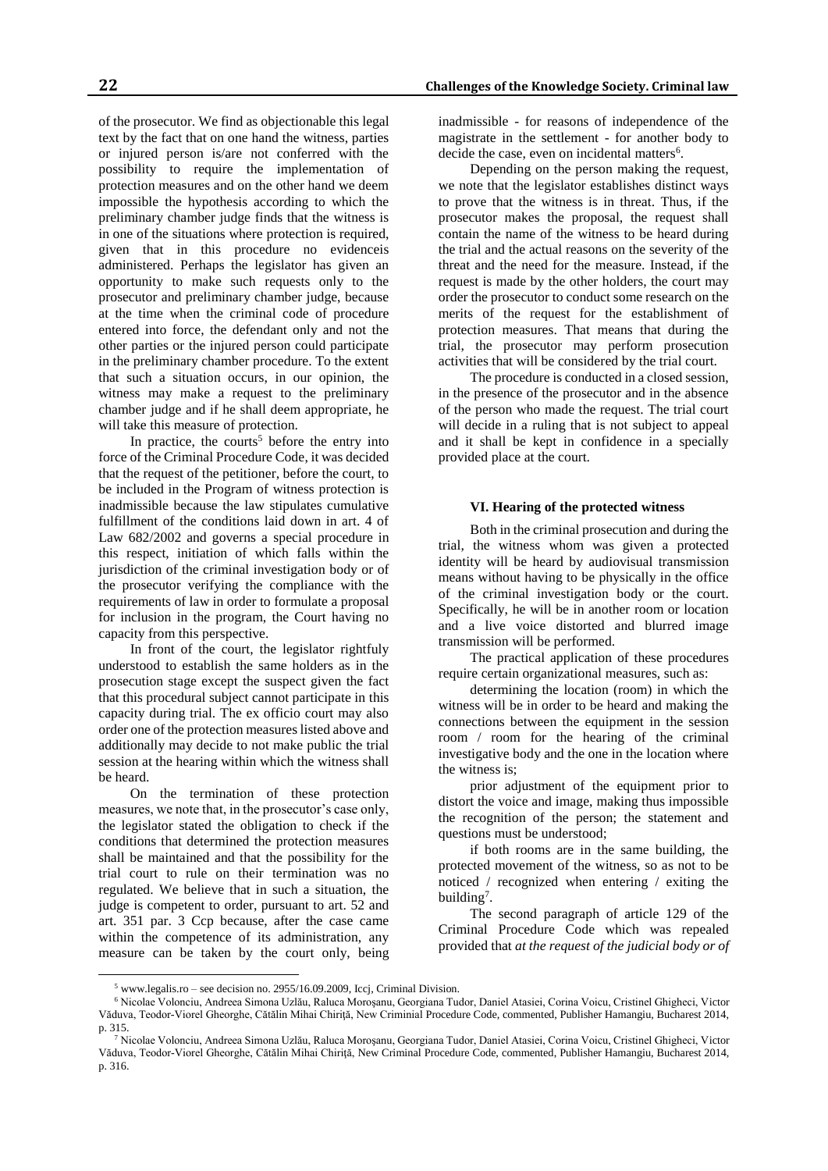of the prosecutor. We find as objectionable this legal text by the fact that on one hand the witness, parties or injured person is/are not conferred with the possibility to require the implementation of protection measures and on the other hand we deem impossible the hypothesis according to which the preliminary chamber judge finds that the witness is in one of the situations where protection is required, given that in this procedure no evidenceis administered. Perhaps the legislator has given an opportunity to make such requests only to the prosecutor and preliminary chamber judge, because at the time when the criminal code of procedure entered into force, the defendant only and not the other parties or the injured person could participate in the preliminary chamber procedure. To the extent that such a situation occurs, in our opinion, the witness may make a request to the preliminary chamber judge and if he shall deem appropriate, he will take this measure of protection.

In practice, the courts<sup>5</sup> before the entry into force of the Criminal Procedure Code, it was decided that the request of the petitioner, before the court, to be included in the Program of witness protection is inadmissible because the law stipulates cumulative fulfillment of the conditions laid down in art. 4 of Law 682/2002 and governs a special procedure in this respect, initiation of which falls within the jurisdiction of the criminal investigation body or of the prosecutor verifying the compliance with the requirements of law in order to formulate a proposal for inclusion in the program, the Court having no capacity from this perspective.

In front of the court, the legislator rightfuly understood to establish the same holders as in the prosecution stage except the suspect given the fact that this procedural subject cannot participate in this capacity during trial. The ex officio court may also order one of the protection measures listed above and additionally may decide to not make public the trial session at the hearing within which the witness shall be heard.

On the termination of these protection measures, we note that, in the prosecutor's case only, the legislator stated the obligation to check if the conditions that determined the protection measures shall be maintained and that the possibility for the trial court to rule on their termination was no regulated. We believe that in such a situation, the judge is competent to order, pursuant to art. 52 and art. 351 par. 3 Ccp because, after the case came within the competence of its administration, any measure can be taken by the court only, being

 $\overline{a}$ 

inadmissible - for reasons of independence of the magistrate in the settlement - for another body to decide the case, even on incidental matters $6$ .

Depending on the person making the request, we note that the legislator establishes distinct ways to prove that the witness is in threat. Thus, if the prosecutor makes the proposal, the request shall contain the name of the witness to be heard during the trial and the actual reasons on the severity of the threat and the need for the measure. Instead, if the request is made by the other holders, the court may order the prosecutor to conduct some research on the merits of the request for the establishment of protection measures. That means that during the trial, the prosecutor may perform prosecution activities that will be considered by the trial court.

The procedure is conducted in a closed session, in the presence of the prosecutor and in the absence of the person who made the request. The trial court will decide in a ruling that is not subject to appeal and it shall be kept in confidence in a specially provided place at the court.

#### **VI. Hearing of the protected witness**

Both in the criminal prosecution and during the trial, the witness whom was given a protected identity will be heard by audiovisual transmission means without having to be physically in the office of the criminal investigation body or the court. Specifically, he will be in another room or location and a live voice distorted and blurred image transmission will be performed.

The practical application of these procedures require certain organizational measures, such as:

determining the location (room) in which the witness will be in order to be heard and making the connections between the equipment in the session room / room for the hearing of the criminal investigative body and the one in the location where the witness is;

prior adjustment of the equipment prior to distort the voice and image, making thus impossible the recognition of the person; the statement and questions must be understood;

if both rooms are in the same building, the protected movement of the witness, so as not to be noticed / recognized when entering / exiting the building<sup>7</sup>.

The second paragraph of article 129 of the Criminal Procedure Code which was repealed provided that *at the request of the judicial body or of* 

<sup>5</sup> www.legalis.ro – see decision no. 2955/16.09.2009, Iccj, Criminal Division.

<sup>6</sup> Nicolae Volonciu, Andreea Simona Uzlău, Raluca Moroşanu, Georgiana Tudor, Daniel Atasiei, Corina Voicu, Cristinel Ghigheci, Victor Văduva, Teodor-Viorel Gheorghe, Cătălin Mihai Chiriţă, New Criminial Procedure Code, commented, Publisher Hamangiu, Bucharest 2014, p. 315.

<sup>7</sup> Nicolae Volonciu, Andreea Simona Uzlău, Raluca Moroşanu, Georgiana Tudor, Daniel Atasiei, Corina Voicu, Cristinel Ghigheci, Victor Văduva, Teodor-Viorel Gheorghe, Cătălin Mihai Chiriţă, New Criminal Procedure Code, commented, Publisher Hamangiu, Bucharest 2014, p. 316.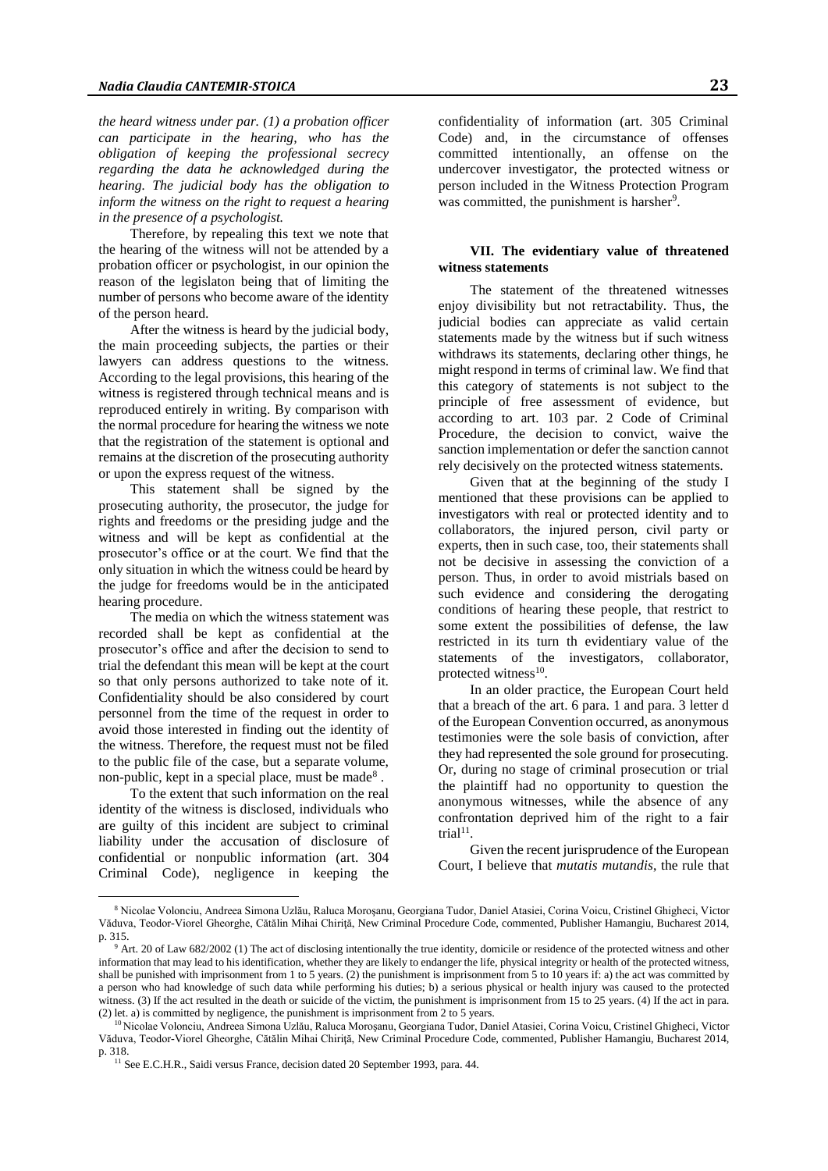*the heard witness under par. (1) a probation officer can participate in the hearing, who has the obligation of keeping the professional secrecy regarding the data he acknowledged during the hearing. The judicial body has the obligation to inform the witness on the right to request a hearing in the presence of a psychologist.*

Therefore, by repealing this text we note that the hearing of the witness will not be attended by a probation officer or psychologist, in our opinion the reason of the legislaton being that of limiting the number of persons who become aware of the identity of the person heard.

After the witness is heard by the judicial body, the main proceeding subjects, the parties or their lawyers can address questions to the witness. According to the legal provisions, this hearing of the witness is registered through technical means and is reproduced entirely in writing. By comparison with the normal procedure for hearing the witness we note that the registration of the statement is optional and remains at the discretion of the prosecuting authority or upon the express request of the witness.

This statement shall be signed by the prosecuting authority, the prosecutor, the judge for rights and freedoms or the presiding judge and the witness and will be kept as confidential at the prosecutor's office or at the court. We find that the only situation in which the witness could be heard by the judge for freedoms would be in the anticipated hearing procedure.

The media on which the witness statement was recorded shall be kept as confidential at the prosecutor's office and after the decision to send to trial the defendant this mean will be kept at the court so that only persons authorized to take note of it. Confidentiality should be also considered by court personnel from the time of the request in order to avoid those interested in finding out the identity of the witness. Therefore, the request must not be filed to the public file of the case, but a separate volume, non-public, kept in a special place, must be made<sup>8</sup>.

To the extent that such information on the real identity of the witness is disclosed, individuals who are guilty of this incident are subject to criminal liability under the accusation of disclosure of confidential or nonpublic information (art. 304 Criminal Code), negligence in keeping the

 $\overline{a}$ 

confidentiality of information (art. 305 Criminal Code) and, in the circumstance of offenses committed intentionally, an offense on the undercover investigator, the protected witness or person included in the Witness Protection Program was committed, the punishment is harsher<sup>9</sup>.

# **VII. The evidentiary value of threatened witness statements**

The statement of the threatened witnesses enjoy divisibility but not retractability. Thus, the judicial bodies can appreciate as valid certain statements made by the witness but if such witness withdraws its statements, declaring other things, he might respond in terms of criminal law. We find that this category of statements is not subject to the principle of free assessment of evidence, but according to art. 103 par. 2 Code of Criminal Procedure, the decision to convict, waive the sanction implementation or defer the sanction cannot rely decisively on the protected witness statements.

Given that at the beginning of the study I mentioned that these provisions can be applied to investigators with real or protected identity and to collaborators, the injured person, civil party or experts, then in such case, too, their statements shall not be decisive in assessing the conviction of a person. Thus, in order to avoid mistrials based on such evidence and considering the derogating conditions of hearing these people, that restrict to some extent the possibilities of defense, the law restricted in its turn th evidentiary value of the statements of the investigators, collaborator, protected witness<sup>10</sup>.

In an older practice, the European Court held that a breach of the art. 6 para. 1 and para. 3 letter d of the European Convention occurred, as anonymous testimonies were the sole basis of conviction, after they had represented the sole ground for prosecuting. Or, during no stage of criminal prosecution or trial the plaintiff had no opportunity to question the anonymous witnesses, while the absence of any confrontation deprived him of the right to a fair  $trial<sup>11</sup>$ .

Given the recent jurisprudence of the European Court, I believe that *mutatis mutandis*, the rule that

<sup>8</sup> Nicolae Volonciu, Andreea Simona Uzlău, Raluca Moroşanu, Georgiana Tudor, Daniel Atasiei, Corina Voicu, Cristinel Ghigheci, Victor Văduva, Teodor-Viorel Gheorghe, Cătălin Mihai Chiriţă, New Criminal Procedure Code, commented, Publisher Hamangiu, Bucharest 2014, p. 315.

<sup>9</sup> Art. 20 of Law 682/2002 (1) The act of disclosing intentionally the true identity, domicile or residence of the protected witness and other information that may lead to his identification, whether they are likely to endanger the life, physical integrity or health of the protected witness, shall be punished with imprisonment from 1 to 5 years. (2) the punishment is imprisonment from 5 to 10 years if: a) the act was committed by a person who had knowledge of such data while performing his duties; b) a serious physical or health injury was caused to the protected witness. (3) If the act resulted in the death or suicide of the victim, the punishment is imprisonment from 15 to 25 years. (4) If the act in para. (2) let. a) is committed by negligence, the punishment is imprisonment from 2 to 5 years.

<sup>10</sup> Nicolae Volonciu, Andreea Simona Uzlău, Raluca Moroşanu, Georgiana Tudor, Daniel Atasiei, Corina Voicu, Cristinel Ghigheci, Victor Văduva, Teodor-Viorel Gheorghe, Cătălin Mihai Chiriţă, New Criminal Procedure Code, commented, Publisher Hamangiu, Bucharest 2014, p. 318.

<sup>&</sup>lt;sup>11</sup> See E.C.H.R., Saidi versus France, decision dated 20 September 1993, para. 44.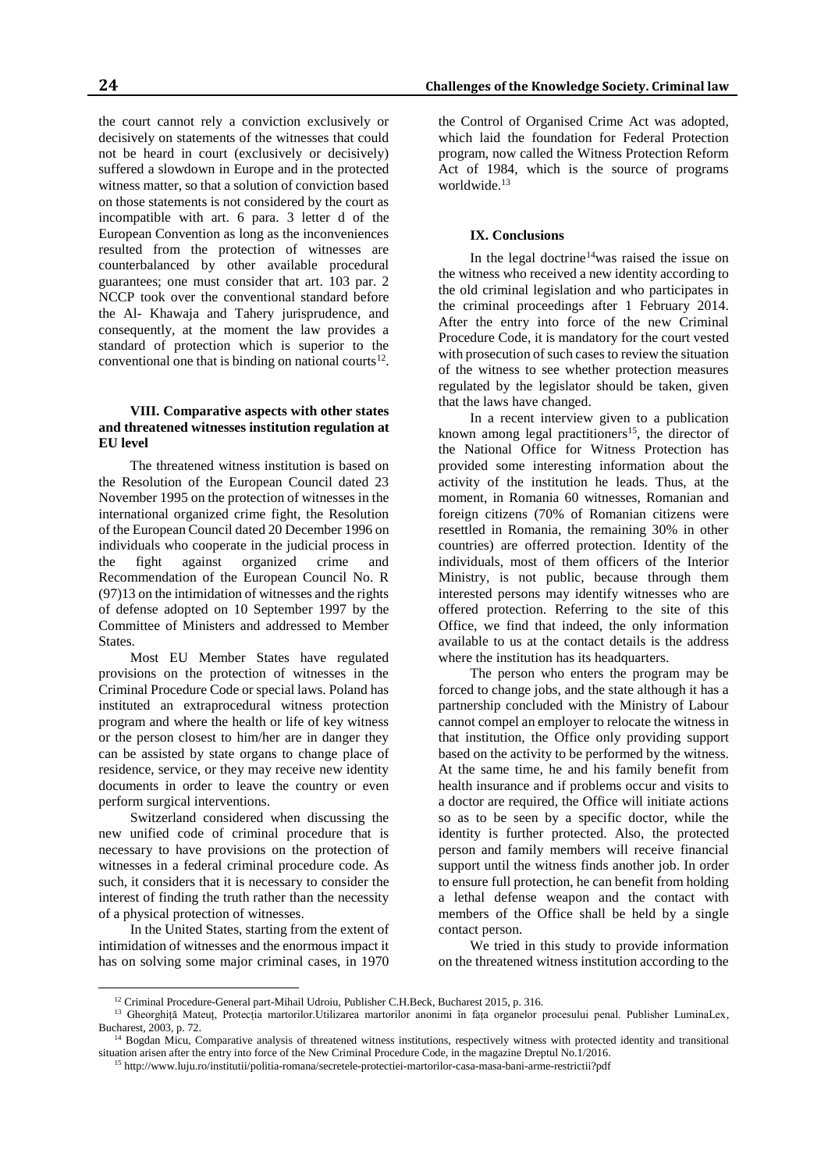the court cannot rely a conviction exclusively or decisively on statements of the witnesses that could not be heard in court (exclusively or decisively) suffered a slowdown in Europe and in the protected witness matter, so that a solution of conviction based on those statements is not considered by the court as incompatible with art. 6 para. 3 letter d of the European Convention as long as the inconveniences resulted from the protection of witnesses are counterbalanced by other available procedural guarantees; one must consider that art. 103 par. 2 NCCP took over the conventional standard before the Al- Khawaja and Tahery jurisprudence, and consequently, at the moment the law provides a standard of protection which is superior to the conventional one that is binding on national courts $12$ .

### **VIII. Comparative aspects with other states and threatened witnesses institution regulation at EU level**

The threatened witness institution is based on the Resolution of the European Council dated 23 November 1995 on the protection of witnesses in the international organized crime fight, the Resolution of the European Council dated 20 December 1996 on individuals who cooperate in the judicial process in the fight against organized crime and Recommendation of the European Council No. R (97)13 on the intimidation of witnesses and the rights of defense adopted on 10 September 1997 by the Committee of Ministers and addressed to Member **States** 

Most EU Member States have regulated provisions on the protection of witnesses in the Criminal Procedure Code or special laws. Poland has instituted an extraprocedural witness protection program and where the health or life of key witness or the person closest to him/her are in danger they can be assisted by state organs to change place of residence, service, or they may receive new identity documents in order to leave the country or even perform surgical interventions.

Switzerland considered when discussing the new unified code of criminal procedure that is necessary to have provisions on the protection of witnesses in a federal criminal procedure code. As such, it considers that it is necessary to consider the interest of finding the truth rather than the necessity of a physical protection of witnesses.

In the United States, starting from the extent of intimidation of witnesses and the enormous impact it has on solving some major criminal cases, in 1970

 $\overline{a}$ 

the Control of Organised Crime Act was adopted, which laid the foundation for Federal Protection program, now called the Witness Protection Reform Act of 1984, which is the source of programs worldwide.<sup>13</sup>

# **IX. Conclusions**

In the legal doctrine<sup>14</sup>was raised the issue on the witness who received a new identity according to the old criminal legislation and who participates in the criminal proceedings after 1 February 2014. After the entry into force of the new Criminal Procedure Code, it is mandatory for the court vested with prosecution of such cases to review the situation of the witness to see whether protection measures regulated by the legislator should be taken, given that the laws have changed.

In a recent interview given to a publication known among legal practitioners<sup>15</sup>, the director of the National Office for Witness Protection has provided some interesting information about the activity of the institution he leads. Thus, at the moment, in Romania 60 witnesses, Romanian and foreign citizens (70% of Romanian citizens were resettled in Romania, the remaining 30% in other countries) are offerred protection. Identity of the individuals, most of them officers of the Interior Ministry, is not public, because through them interested persons may identify witnesses who are offered protection. Referring to the site of this Office, we find that indeed, the only information available to us at the contact details is the address where the institution has its headquarters.

The person who enters the program may be forced to change jobs, and the state although it has a partnership concluded with the Ministry of Labour cannot compel an employer to relocate the witness in that institution, the Office only providing support based on the activity to be performed by the witness. At the same time, he and his family benefit from health insurance and if problems occur and visits to a doctor are required, the Office will initiate actions so as to be seen by a specific doctor, while the identity is further protected. Also, the protected person and family members will receive financial support until the witness finds another job. In order to ensure full protection, he can benefit from holding a lethal defense weapon and the contact with members of the Office shall be held by a single contact person.

We tried in this study to provide information on the threatened witness institution according to the

<sup>&</sup>lt;sup>12</sup> Criminal Procedure-General part-Mihail Udroiu, Publisher C.H.Beck, Bucharest 2015, p. 316.

<sup>&</sup>lt;sup>13</sup> Gheorghiță Mateuț, Protecția martorilor.Utilizarea martorilor anonimi în fața organelor procesului penal. Publisher LuminaLex, Bucharest, 2003, p. 72.

<sup>&</sup>lt;sup>14</sup> Bogdan Micu, Comparative analysis of threatened witness institutions, respectively witness with protected identity and transitional situation arisen after the entry into force of the New Criminal Procedure Code, in the magazine Dreptul No.1/2016.

<sup>15</sup> http://www.luju.ro/institutii/politia-romana/secretele-protectiei-martorilor-casa-masa-bani-arme-restrictii?pdf